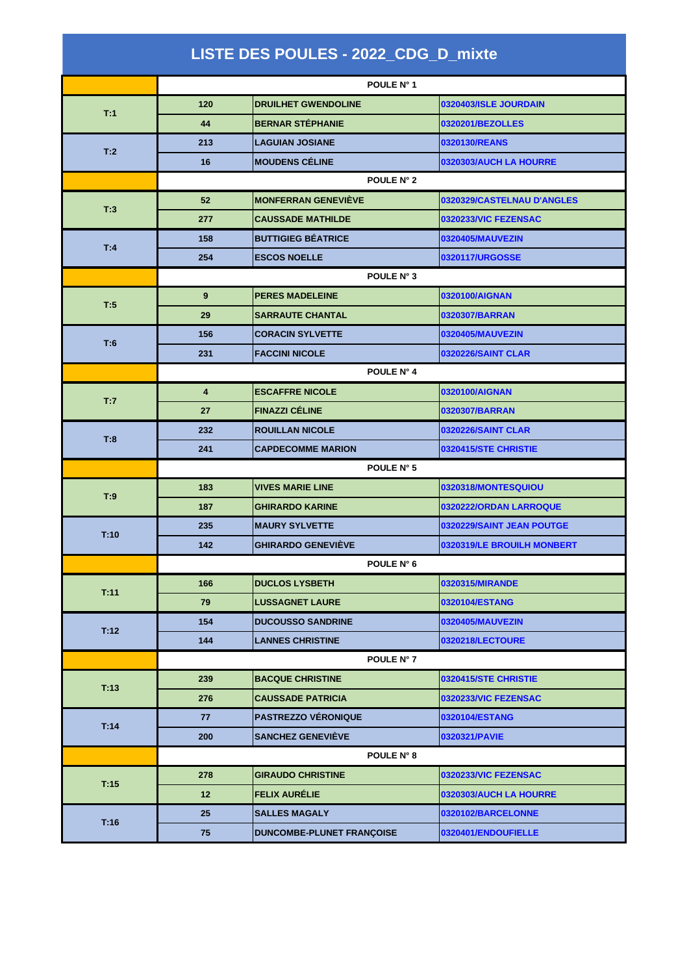| LISTE DES POULES - 2022_CDG_D_mixte |                         |                            |                            |  |
|-------------------------------------|-------------------------|----------------------------|----------------------------|--|
|                                     | POULE N° 1              |                            |                            |  |
|                                     | 120                     | <b>DRUILHET GWENDOLINE</b> | 0320403/ISLE JOURDAIN      |  |
| T:1                                 | 44                      | <b>BERNAR STÉPHANIE</b>    | 0320201/BEZOLLES           |  |
| T:2                                 | 213                     | <b>LAGUIAN JOSIANE</b>     | 0320130/REANS              |  |
|                                     | 16                      | <b>MOUDENS CÉLINE</b>      | 0320303/AUCH LA HOURRE     |  |
|                                     |                         | POULE N° 2                 |                            |  |
|                                     | 52                      | <b>MONFERRAN GENEVIÈVE</b> | 0320329/CASTELNAU D'ANGLES |  |
| T:3                                 | 277                     | <b>CAUSSADE MATHILDE</b>   | 0320233/VIC FEZENSAC       |  |
| T:4                                 | 158                     | <b>BUTTIGIEG BÉATRICE</b>  | 0320405/MAUVEZIN           |  |
|                                     | 254                     | <b>ESCOS NOELLE</b>        | 0320117/URGOSSE            |  |
|                                     |                         | <b>POULE N° 3</b>          |                            |  |
| T:5                                 | 9                       | <b>PERES MADELEINE</b>     | 0320100/AIGNAN             |  |
|                                     | 29                      | <b>SARRAUTE CHANTAL</b>    | 0320307/BARRAN             |  |
| T:6                                 | 156                     | <b>CORACIN SYLVETTE</b>    | 0320405/MAUVEZIN           |  |
|                                     | 231                     | <b>FACCINI NICOLE</b>      | <b>0320226/SAINT CLAR</b>  |  |
|                                     | POULE N° 4              |                            |                            |  |
| T:7                                 | $\overline{\mathbf{4}}$ | <b>ESCAFFRE NICOLE</b>     | 0320100/AIGNAN             |  |
|                                     | 27                      | <b>FINAZZI CÉLINE</b>      | 0320307/BARRAN             |  |
| T:8                                 | 232                     | <b>ROUILLAN NICOLE</b>     | <b>0320226/SAINT CLAR</b>  |  |
|                                     | 241                     | <b>CAPDECOMME MARION</b>   | 0320415/STE CHRISTIE       |  |
|                                     |                         | POULE N° 5                 |                            |  |
| T:9                                 | 183                     | <b>VIVES MARIE LINE</b>    | 0320318/MONTESQUIOU        |  |
|                                     | 187                     | <b>GHIRARDO KARINE</b>     | 0320222/ORDAN LARROQUE     |  |
| T:10                                | 235                     | <b>MAURY SYLVETTE</b>      | 0320229/SAINT JEAN POUTGE  |  |
|                                     | 142                     | <b>GHIRARDO GENEVIÈVE</b>  | 0320319/LE BROUILH MONBERT |  |
|                                     |                         | POULE N° 6                 |                            |  |
| T:11                                | 166                     | <b>DUCLOS LYSBETH</b>      | 0320315/MIRANDE            |  |
|                                     | 79                      | <b>LUSSAGNET LAURE</b>     | 0320104/ESTANG             |  |
| T:12                                | 154                     | <b>DUCOUSSO SANDRINE</b>   | 0320405/MAUVEZIN           |  |
|                                     | 144                     | <b>LANNES CHRISTINE</b>    | 0320218/LECTOURE           |  |
|                                     | POULE N° 7              |                            |                            |  |
| T:13                                | 239                     | <b>BACQUE CHRISTINE</b>    | 0320415/STE CHRISTIE       |  |
|                                     | 276                     | <b>CAUSSADE PATRICIA</b>   | 0320233/VIC FEZENSAC       |  |
| T:14                                | 77                      | <b>PASTREZZO VÉRONIQUE</b> | 0320104/ESTANG             |  |
|                                     | 200                     | <b>SANCHEZ GENEVIÈVE</b>   | 0320321/PAVIE              |  |
|                                     |                         | <b>POULE N° 8</b>          |                            |  |
| T:15                                | 278                     | <b>GIRAUDO CHRISTINE</b>   | 0320233/VIC FEZENSAC       |  |
|                                     | 12                      | <b>FELIX AURÉLIE</b>       | 0320303/AUCH LA HOURRE     |  |
|                                     | 25                      | <b>SALLES MAGALY</b>       | 0320102/BARCELONNE         |  |
| T:16                                | 75                      | DUNCOMBE-PLUNET FRANÇOISE  | 0320401/ENDOUFIELLE        |  |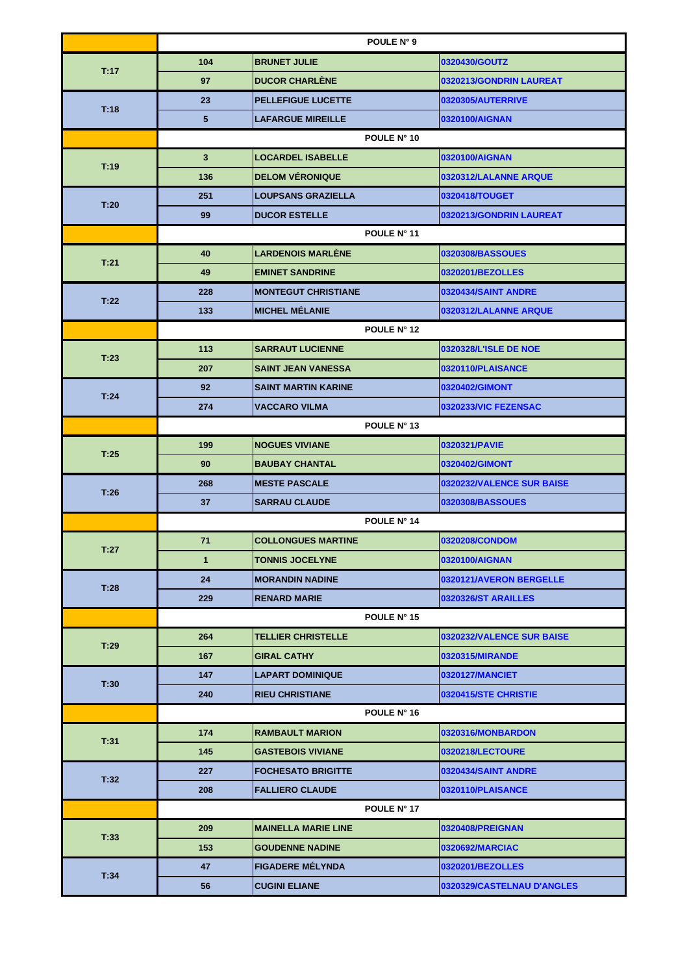|      | POULE N° 9      |                            |                            |  |
|------|-----------------|----------------------------|----------------------------|--|
|      | 104             | <b>BRUNET JULIE</b>        | 0320430/GOUTZ              |  |
| T:17 | 97              | <b>DUCOR CHARLENE</b>      | 0320213/GONDRIN LAUREAT    |  |
|      | 23              | <b>PELLEFIGUE LUCETTE</b>  | 0320305/AUTERRIVE          |  |
| T:18 | $5\phantom{.0}$ | <b>LAFARGUE MIREILLE</b>   | 0320100/AIGNAN             |  |
|      |                 | POULE N° 10                |                            |  |
|      | 3               | <b>LOCARDEL ISABELLE</b>   | 0320100/AIGNAN             |  |
| T:19 | 136             | <b>DELOM VERONIQUE</b>     | 0320312/LALANNE ARQUE      |  |
| T:20 | 251             | <b>LOUPSANS GRAZIELLA</b>  | 0320418/TOUGET             |  |
|      | 99              | <b>DUCOR ESTELLE</b>       | 0320213/GONDRIN LAUREAT    |  |
|      | POULE N° 11     |                            |                            |  |
| T:21 | 40              | <b>LARDENOIS MARLÉNE</b>   | 0320308/BASSOUES           |  |
|      | 49              | <b>EMINET SANDRINE</b>     | 0320201/BEZOLLES           |  |
| T:22 | 228             | <b>MONTEGUT CHRISTIANE</b> | 0320434/SAINT ANDRE        |  |
|      | 133             | <b>MICHEL MÉLANIE</b>      | 0320312/LALANNE ARQUE      |  |
|      |                 | POULE N° 12                |                            |  |
|      | 113             | <b>SARRAUT LUCIENNE</b>    | 0320328/L'ISLE DE NOE      |  |
| T:23 | 207             | <b>SAINT JEAN VANESSA</b>  | 0320110/PLAISANCE          |  |
|      | 92              | <b>SAINT MARTIN KARINE</b> | 0320402/GIMONT             |  |
| T:24 | 274             | <b>VACCARO VILMA</b>       | 0320233/VIC FEZENSAC       |  |
|      | POULE N° 13     |                            |                            |  |
|      | 199             | <b>NOGUES VIVIANE</b>      | 0320321/PAVIE              |  |
| T:25 | 90              | <b>BAUBAY CHANTAL</b>      | 0320402/GIMONT             |  |
|      | 268             | <b>MESTE PASCALE</b>       | 0320232/VALENCE SUR BAISE  |  |
| T:26 | 37              | <b>SARRAU CLAUDE</b>       | 0320308/BASSOUES           |  |
|      | POULE N° 14     |                            |                            |  |
| T:27 | 71              | <b>COLLONGUES MARTINE</b>  | 0320208/CONDOM             |  |
|      | 1               | <b>TONNIS JOCELYNE</b>     | 0320100/AIGNAN             |  |
| T:28 | 24              | <b>IMORANDIN NADINE</b>    | 0320121/AVERON BERGELLE    |  |
|      | 229             | <b>RENARD MARIE</b>        | 0320326/ST ARAILLES        |  |
|      | POULE N° 15     |                            |                            |  |
| T:29 | 264             | <b>TELLIER CHRISTELLE</b>  | 0320232/VALENCE SUR BAISE  |  |
|      | 167             | <b>GIRAL CATHY</b>         | 0320315/MIRANDE            |  |
| T:30 | 147             | <b>LAPART DOMINIQUE</b>    | 0320127/MANCIET            |  |
|      | 240             | <b>RIEU CHRISTIANE</b>     | 0320415/STE CHRISTIE       |  |
|      | POULE N° 16     |                            |                            |  |
| T:31 | 174             | <b>RAMBAULT MARION</b>     | 0320316/MONBARDON          |  |
|      | 145             | <b>GASTEBOIS VIVIANE</b>   | 0320218/LECTOURE           |  |
| T:32 | 227             | <b>FOCHESATO BRIGITTE</b>  | 0320434/SAINT ANDRE        |  |
|      | 208             | <b>FALLIERO CLAUDE</b>     | 0320110/PLAISANCE          |  |
|      |                 | POULE N° 17                |                            |  |
| T:33 | 209             | <b>MAINELLA MARIE LINE</b> | 0320408/PREIGNAN           |  |
|      | 153             | <b>GOUDENNE NADINE</b>     | 0320692/MARCIAC            |  |
|      | 47              | <b>FIGADERE MÉLYNDA</b>    | 0320201/BEZOLLES           |  |
| T:34 | 56              | <b>CUGINI ELIANE</b>       | 0320329/CASTELNAU D'ANGLES |  |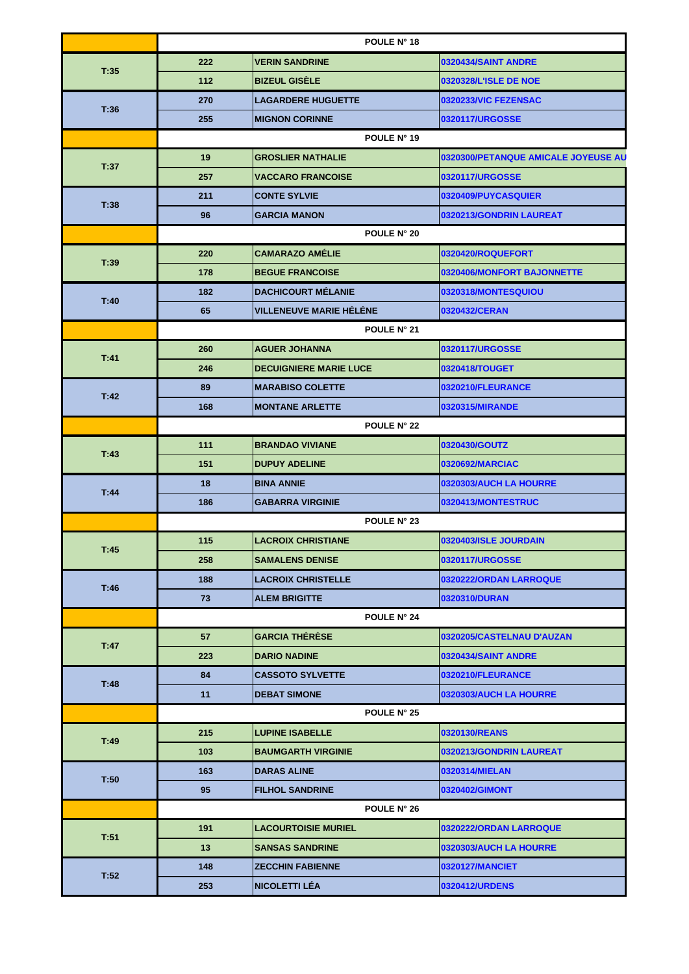|      |             |                                | POULE N° 18                         |
|------|-------------|--------------------------------|-------------------------------------|
|      | 222         | <b>VERIN SANDRINE</b>          | 0320434/SAINT ANDRE                 |
| T:35 | $112$       | <b>BIZEUL GISELE</b>           | 0320328/L'ISLE DE NOE               |
| T:36 | 270         | <b>LAGARDERE HUGUETTE</b>      | 0320233/VIC FEZENSAC                |
|      | 255         | <b>MIGNON CORINNE</b>          | 0320117/URGOSSE                     |
|      |             |                                | POULE N° 19                         |
|      | 19          | <b>GROSLIER NATHALIE</b>       | 0320300/PETANQUE AMICALE JOYEUSE AU |
| T:37 | 257         | <b>VACCARO FRANCOISE</b>       | 0320117/URGOSSE                     |
| T:38 | 211         | <b>CONTE SYLVIE</b>            | 0320409/PUYCASQUIER                 |
|      | 96          | <b>GARCIA MANON</b>            | 0320213/GONDRIN LAUREAT             |
|      |             |                                | POULE N° 20                         |
| T:39 | 220         | CAMARAZO AMÉLIE                | 0320420/ROQUEFORT                   |
|      | 178         | <b>BEGUE FRANCOISE</b>         | 0320406/MONFORT BAJONNETTE          |
| T:40 | 182         | <b>DACHICOURT MÉLANIE</b>      | 0320318/MONTESQUIOU                 |
|      | 65          | <b>VILLENEUVE MARIE HÉLÉNE</b> | 0320432/CERAN                       |
|      |             |                                | <b>POULE N° 21</b>                  |
| T:41 | 260         | <b>AGUER JOHANNA</b>           | 0320117/URGOSSE                     |
|      | 246         | <b>DECUIGNIERE MARIE LUCE</b>  | 0320418/TOUGET                      |
|      | 89          | <b>MARABISO COLETTE</b>        | 0320210/FLEURANCE                   |
| T:42 | 168         | <b>MONTANE ARLETTE</b>         | 0320315/MIRANDE                     |
|      | POULE N° 22 |                                |                                     |
|      | 111         | <b>BRANDAO VIVIANE</b>         | 0320430/GOUTZ                       |
| T:43 | 151         | <b>DUPUY ADELINE</b>           | 0320692/MARCIAC                     |
|      | 18          | <b>BINA ANNIE</b>              | 0320303/AUCH LA HOURRE              |
| T:44 | 186         | <b>GABARRA VIRGINIE</b>        | 0320413/MONTESTRUC                  |
|      |             |                                | POULE N° 23                         |
|      | 115         | <b>LACROIX CHRISTIANE</b>      | 0320403/ISLE JOURDAIN               |
| T:45 | 258         | <b>SAMALENS DENISE</b>         | 0320117/URGOSSE                     |
|      | 188         | <b>LACROIX CHRISTELLE</b>      | 0320222/ORDAN LARROQUE              |
| T:46 | 73          | <b>ALEM BRIGITTE</b>           | 0320310/DURAN                       |
|      |             |                                | <b>POULE N° 24</b>                  |
|      | 57          | <b>GARCIA THÉRÈSE</b>          | 0320205/CASTELNAU D'AUZAN           |
| T:47 | 223         | <b>DARIO NADINE</b>            | 0320434/SAINT ANDRE                 |
|      | 84          | <b>CASSOTO SYLVETTE</b>        | 0320210/FLEURANCE                   |
| T:48 | 11          | <b>DEBAT SIMONE</b>            | 0320303/AUCH LA HOURRE              |
|      |             |                                | POULE N° 25                         |
|      | 215         | <b>LUPINE ISABELLE</b>         | 0320130/REANS                       |
| T:49 | 103         | <b>BAUMGARTH VIRGINIE</b>      | 0320213/GONDRIN LAUREAT             |
|      | 163         | <b>DARAS ALINE</b>             | 0320314/MIELAN                      |
| T:50 | 95          | <b>FILHOL SANDRINE</b>         | 0320402/GIMONT                      |
|      |             |                                | <b>POULE N° 26</b>                  |
|      | 191         | <b>LACOURTOISIE MURIEL</b>     | 0320222/ORDAN LARROQUE              |
| T:51 | 13          | <b>SANSAS SANDRINE</b>         | 0320303/AUCH LA HOURRE              |
| T:52 | 148         | <b>ZECCHIN FABIENNE</b>        | 0320127/MANCIET                     |
|      | 253         | <b>NICOLETTI LÉA</b>           | 0320412/URDENS                      |
|      |             |                                |                                     |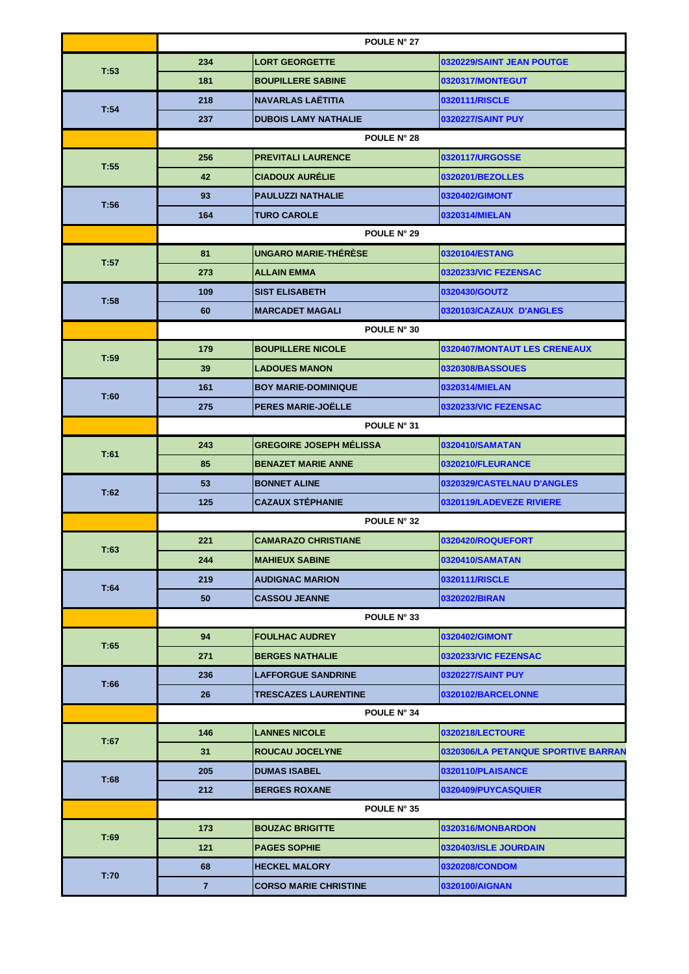|             | POULE N° 27    |                                |                                     |  |
|-------------|----------------|--------------------------------|-------------------------------------|--|
| T:53        | 234            | <b>LORT GEORGETTE</b>          | 0320229/SAINT JEAN POUTGE           |  |
|             | 181            | <b>BOUPILLERE SABINE</b>       | 0320317/MONTEGUT                    |  |
| T:54        | 218            | <b>NAVARLAS LAËTITIA</b>       | 0320111/RISCLE                      |  |
|             | 237            | <b>DUBOIS LAMY NATHALIE</b>    | 0320227/SAINT PUY                   |  |
|             |                | POULE N° 28                    |                                     |  |
| T:55        | 256            | <b>PREVITALI LAURENCE</b>      | 0320117/URGOSSE                     |  |
|             | 42             | <b>CIADOUX AURÉLIE</b>         | 0320201/BEZOLLES                    |  |
| T:56        | 93             | <b>PAULUZZI NATHALIE</b>       | 0320402/GIMONT                      |  |
|             | 164            | <b>TURO CAROLE</b>             | 0320314/MIELAN                      |  |
|             |                | POULE N° 29                    |                                     |  |
| T:57        | 81             | <b>UNGARO MARIE-THERESE</b>    | 0320104/ESTANG                      |  |
|             | 273            | <b>ALLAIN EMMA</b>             | 0320233/VIC FEZENSAC                |  |
|             | 109            | <b>SIST ELISABETH</b>          | 0320430/GOUTZ                       |  |
| T:58        | 60             | <b>MARCADET MAGALI</b>         | 0320103/CAZAUX D'ANGLES             |  |
|             |                | POULE N° 30                    |                                     |  |
|             | 179            | <b>BOUPILLERE NICOLE</b>       | 0320407/MONTAUT LES CRENEAUX        |  |
| T:59        | 39             | <b>LADOUES MANON</b>           | 0320308/BASSOUES                    |  |
|             | 161            | <b>BOY MARIE-DOMINIQUE</b>     | 0320314/MIELAN                      |  |
| T:60        | 275            | PERES MARIE-JOËLLE             | 0320233/VIC FEZENSAC                |  |
|             | POULE N° 31    |                                |                                     |  |
|             | 243            | <b>GREGOIRE JOSEPH MÉLISSA</b> | 0320410/SAMATAN                     |  |
| T:61        | 85             | <b>BENAZET MARIE ANNE</b>      | 0320210/FLEURANCE                   |  |
|             | 53             | <b>BONNET ALINE</b>            | 0320329/CASTELNAU D'ANGLES          |  |
| T:62        | 125            | <b>CAZAUX STÉPHANIE</b>        | 0320119/LADEVEZE RIVIERE            |  |
| POULE N° 32 |                |                                |                                     |  |
|             | 221            | <b>CAMARAZO CHRISTIANE</b>     | 0320420/ROQUEFORT                   |  |
| T:63        | 244            | <b>MAHIEUX SABINE</b>          | 0320410/SAMATAN                     |  |
|             | 219            | <b>AUDIGNAC MARION</b>         | 0320111/RISCLE                      |  |
| T:64        | 50             | <b>CASSOU JEANNE</b>           | 0320202/BIRAN                       |  |
|             |                | POULE N° 33                    |                                     |  |
|             | 94             | <b>FOULHAC AUDREY</b>          | 0320402/GIMONT                      |  |
| T:65        | 271            | <b>BERGES NATHALIE</b>         | 0320233/VIC FEZENSAC                |  |
|             | 236            | <b>LAFFORGUE SANDRINE</b>      | 0320227/SAINT PUY                   |  |
| T:66        | 26             | <b>TRESCAZES LAURENTINE</b>    | 0320102/BARCELONNE                  |  |
|             |                | POULE N° 34                    |                                     |  |
|             | 146            | <b>LANNES NICOLE</b>           | 0320218/LECTOURE                    |  |
| T:67        | 31             | <b>ROUCAU JOCELYNE</b>         | 0320306/LA PETANQUE SPORTIVE BARRAN |  |
|             | 205            | <b>DUMAS ISABEL</b>            | 0320110/PLAISANCE                   |  |
| T:68        | 212            | <b>BERGES ROXANE</b>           | 0320409/PUYCASQUIER                 |  |
|             |                | POULE N° 35                    |                                     |  |
|             | 173            | <b>BOUZAC BRIGITTE</b>         | 0320316/MONBARDON                   |  |
| T:69        | 121            | <b>PAGES SOPHIE</b>            | 0320403/ISLE JOURDAIN               |  |
|             | 68             | <b>HECKEL MALORY</b>           | 0320208/CONDOM                      |  |
| T:70        | $\overline{7}$ | <b>CORSO MARIE CHRISTINE</b>   | 0320100/AIGNAN                      |  |
|             |                |                                |                                     |  |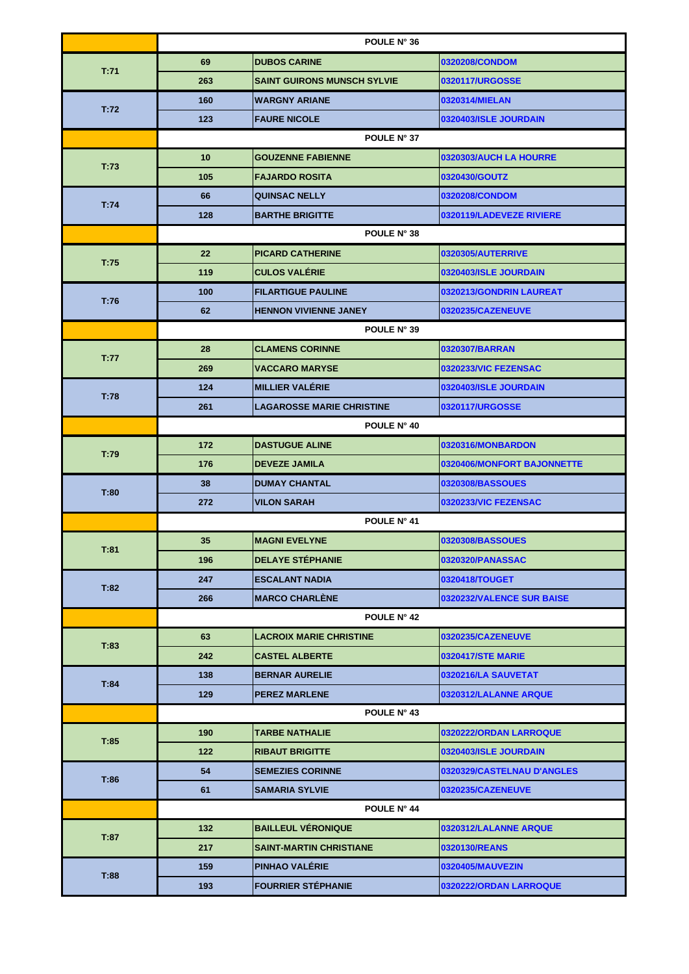|      | POULE N° 36     |                                    |                            |  |
|------|-----------------|------------------------------------|----------------------------|--|
|      | 69              | <b>DUBOS CARINE</b>                | 0320208/CONDOM             |  |
| T:71 | 263             | <b>SAINT GUIRONS MUNSCH SYLVIE</b> | 0320117/URGOSSE            |  |
|      | 160             | <b>WARGNY ARIANE</b>               | 0320314/MIELAN             |  |
| T:72 | 123             | <b>FAURE NICOLE</b>                | 0320403/ISLE JOURDAIN      |  |
|      |                 | POULE N° 37                        |                            |  |
|      | 10 <sup>°</sup> | <b>GOUZENNE FABIENNE</b>           | 0320303/AUCH LA HOURRE     |  |
| T:73 | 105             | <b>FAJARDO ROSITA</b>              | 0320430/GOUTZ              |  |
|      | 66              | <b>QUINSAC NELLY</b>               | 0320208/CONDOM             |  |
| T:74 | 128             | <b>BARTHE BRIGITTE</b>             | 0320119/LADEVEZE RIVIERE   |  |
|      |                 | POULE N° 38                        |                            |  |
|      | 22              | <b>PICARD CATHERINE</b>            | <b>0320305/AUTERRIVE</b>   |  |
| T:75 | 119             | <b>CULOS VALÉRIE</b>               | 0320403/ISLE JOURDAIN      |  |
|      | 100             | <b>FILARTIGUE PAULINE</b>          | 0320213/GONDRIN LAUREAT    |  |
| T:76 | 62              | <b>HENNON VIVIENNE JANEY</b>       | 0320235/CAZENEUVE          |  |
|      |                 | POULE N° 39                        |                            |  |
|      | 28              | <b>CLAMENS CORINNE</b>             | 0320307/BARRAN             |  |
| T:77 | 269             | <b>VACCARO MARYSE</b>              | 0320233/VIC FEZENSAC       |  |
|      | 124             | <b>MILLIER VALÉRIE</b>             | 0320403/ISLE JOURDAIN      |  |
| T:78 | 261             | <b>LAGAROSSE MARIE CHRISTINE</b>   | 0320117/URGOSSE            |  |
|      | POULE N° 40     |                                    |                            |  |
|      | 172             | <b>DASTUGUE ALINE</b>              | 0320316/MONBARDON          |  |
| T:79 | 176             | <b>DEVEZE JAMILA</b>               | 0320406/MONFORT BAJONNETTE |  |
|      | 38              | <b>DUMAY CHANTAL</b>               | 0320308/BASSOUES           |  |
| T:80 | 272             | <b>VILON SARAH</b>                 | 0320233/VIC FEZENSAC       |  |
|      | POULE N° 41     |                                    |                            |  |
|      | 35              | <b>MAGNI EVELYNE</b>               | 0320308/BASSOUES           |  |
| T:81 | 196             | <b>DELAYE STÉPHANIE</b>            | 0320320/PANASSAC           |  |
| T:82 | 247             | <b>ESCALANT NADIA</b>              | 0320418/TOUGET             |  |
|      | 266             | <b>MARCO CHARLÈNE</b>              | 0320232/VALENCE SUR BAISE  |  |
|      |                 | <b>POULE N° 42</b>                 |                            |  |
| T:83 | 63              | <b>LACROIX MARIE CHRISTINE</b>     | 0320235/CAZENEUVE          |  |
|      | 242             | <b>CASTEL ALBERTE</b>              | <b>0320417/STE MARIE</b>   |  |
| T:84 | 138             | <b>BERNAR AURELIE</b>              | 0320216/LA SAUVETAT        |  |
|      | 129             | <b>PEREZ MARLENE</b>               | 0320312/LALANNE ARQUE      |  |
|      |                 | POULE N° 43                        |                            |  |
| T:85 | 190             | <b>TARBE NATHALIE</b>              | 0320222/ORDAN LARROQUE     |  |
|      | 122             | <b>RIBAUT BRIGITTE</b>             | 0320403/ISLE JOURDAIN      |  |
| T:86 | 54              | <b>SEMEZIES CORINNE</b>            | 0320329/CASTELNAU D'ANGLES |  |
|      | 61              | <b>SAMARIA SYLVIE</b>              | 0320235/CAZENEUVE          |  |
|      |                 | POULE N° 44                        |                            |  |
|      | 132             | <b>BAILLEUL VERONIQUE</b>          | 0320312/LALANNE ARQUE      |  |
| T:87 | 217             | <b>SAINT-MARTIN CHRISTIANE</b>     | 0320130/REANS              |  |
|      | 159             | PINHAO VALERIE                     | 0320405/MAUVEZIN           |  |
| T:88 | 193             | <b>FOURRIER STEPHANIE</b>          | 0320222/ORDAN LARROQUE     |  |
|      |                 |                                    |                            |  |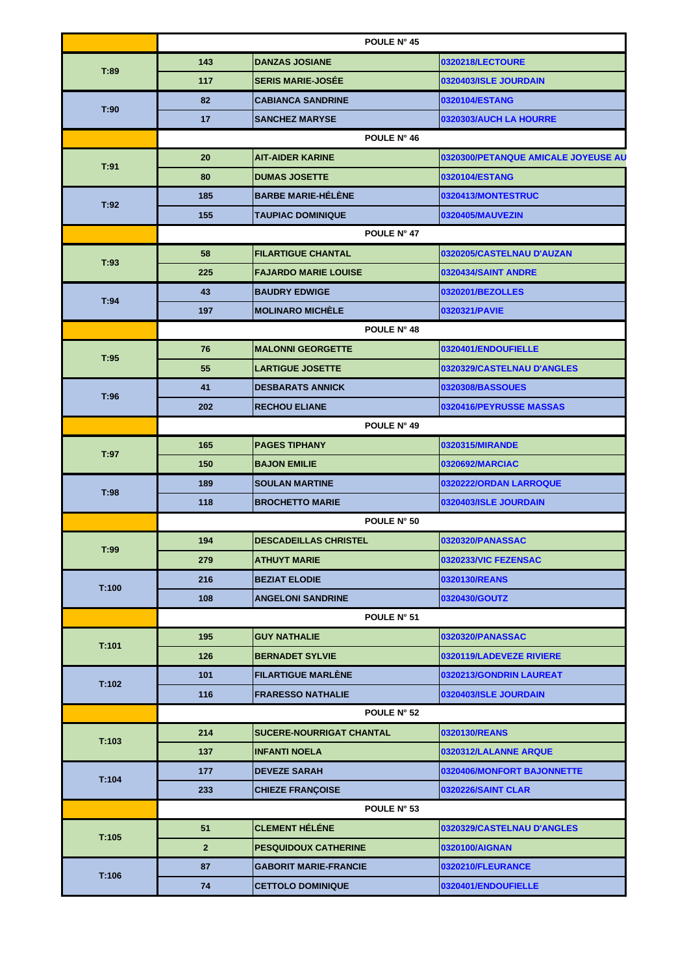|                                  | POULE N° 45                                   |             |                                     |  |
|----------------------------------|-----------------------------------------------|-------------|-------------------------------------|--|
|                                  | 143<br><b>DANZAS JOSIANE</b>                  |             | 0320218/LECTOURE                    |  |
| T:89                             | <b>SERIS MARIE-JOSÉE</b><br>117               |             | 0320403/ISLE JOURDAIN               |  |
| T:90                             | 82<br><b>CABIANCA SANDRINE</b>                |             | 0320104/ESTANG                      |  |
|                                  | 17<br><b>SANCHEZ MARYSE</b>                   |             | 0320303/AUCH LA HOURRE              |  |
|                                  |                                               | POULE N° 46 |                                     |  |
| T:91                             | <b>AIT-AIDER KARINE</b><br>20                 |             | 0320300/PETANQUE AMICALE JOYEUSE AU |  |
|                                  | 80<br><b>DUMAS JOSETTE</b>                    |             | 0320104/ESTANG                      |  |
| T:92                             | <b>BARBE MARIE-HÉLÈNE</b><br>185              |             | 0320413/MONTESTRUC                  |  |
|                                  | 155<br><b>TAUPIAC DOMINIQUE</b>               |             | 0320405/MAUVEZIN                    |  |
|                                  |                                               | POULE N° 47 |                                     |  |
| T:93                             | 58<br><b>FILARTIGUE CHANTAL</b>               |             | 0320205/CASTELNAU D'AUZAN           |  |
|                                  | 225<br><b>FAJARDO MARIE LOUISE</b>            |             | 0320434/SAINT ANDRE                 |  |
| T:94                             | <b>BAUDRY EDWIGE</b><br>43                    |             | 0320201/BEZOLLES                    |  |
|                                  | <b>MOLINARO MICHÈLE</b><br>197                |             | 0320321/PAVIE                       |  |
|                                  |                                               | POULE N° 48 |                                     |  |
| T:95                             | <b>MALONNI GEORGETTE</b><br>76                |             | 0320401/ENDOUFIELLE                 |  |
|                                  | 55<br><b>LARTIGUE JOSETTE</b>                 |             | 0320329/CASTELNAU D'ANGLES          |  |
| T:96                             | <b>DESBARATS ANNICK</b><br>41                 |             | 0320308/BASSOUES                    |  |
|                                  | 202<br><b>RECHOU ELIANE</b>                   |             | 0320416/PEYRUSSE MASSAS             |  |
|                                  | POULE N° 49                                   |             |                                     |  |
| T:97                             | <b>PAGES TIPHANY</b><br>165                   |             | 0320315/MIRANDE                     |  |
|                                  | 150<br><b>BAJON EMILIE</b>                    |             | 0320692/MARCIAC                     |  |
|                                  | 189<br><b>SOULAN MARTINE</b>                  |             | 0320222/ORDAN LARROQUE              |  |
| T:98                             | 118<br><b>BROCHETTO MARIE</b>                 |             | 0320403/ISLE JOURDAIN               |  |
|                                  |                                               | POULE N° 50 |                                     |  |
|                                  | 194<br><b>DESCADEILLAS CHRISTEL</b>           |             | 0320320/PANASSAC                    |  |
| T:99                             | <b>ATHUYT MARIE</b><br>279                    |             | 0320233/VIC FEZENSAC                |  |
|                                  | 216<br><b>BEZIAT ELODIE</b>                   |             | 0320130/REANS                       |  |
| T:100                            | <b>ANGELONI SANDRINE</b><br>108               |             | 0320430/GOUTZ                       |  |
|                                  |                                               | POULE N° 51 |                                     |  |
|                                  | <b>GUY NATHALIE</b><br>195                    |             | 0320320/PANASSAC                    |  |
| T:101                            | 126<br><b>BERNADET SYLVIE</b>                 |             | 0320119/LADEVEZE RIVIERE            |  |
|                                  | <b>FILARTIGUE MARLENE</b><br>101              |             | 0320213/GONDRIN LAUREAT             |  |
|                                  | 116<br><b>FRARESSO NATHALIE</b>               |             | 0320403/ISLE JOURDAIN               |  |
|                                  |                                               | POULE N° 52 |                                     |  |
|                                  | 214<br><b>SUCERE-NOURRIGAT CHANTAL</b>        |             | 0320130/REANS                       |  |
|                                  | 137<br><b>INFANTI NOELA</b>                   |             | 0320312/LALANNE ARQUE               |  |
|                                  | 177<br><b>DEVEZE SARAH</b>                    |             | 0320406/MONFORT BAJONNETTE          |  |
|                                  | 233<br><b>CHIEZE FRANÇOISE</b>                |             | <b>0320226/SAINT CLAR</b>           |  |
|                                  |                                               | POULE N° 53 |                                     |  |
|                                  | <b>CLEMENT HÉLÉNE</b><br>51                   |             | 0320329/CASTELNAU D'ANGLES          |  |
|                                  | 2 <sup>2</sup><br><b>PESQUIDOUX CATHERINE</b> |             | 0320100/AIGNAN                      |  |
| T:106                            | 87<br><b>GABORIT MARIE-FRANCIE</b>            |             | 0320210/FLEURANCE                   |  |
|                                  | 74<br><b>CETTOLO DOMINIQUE</b>                |             | 0320401/ENDOUFIELLE                 |  |
| T:102<br>T:103<br>T:104<br>T:105 |                                               |             |                                     |  |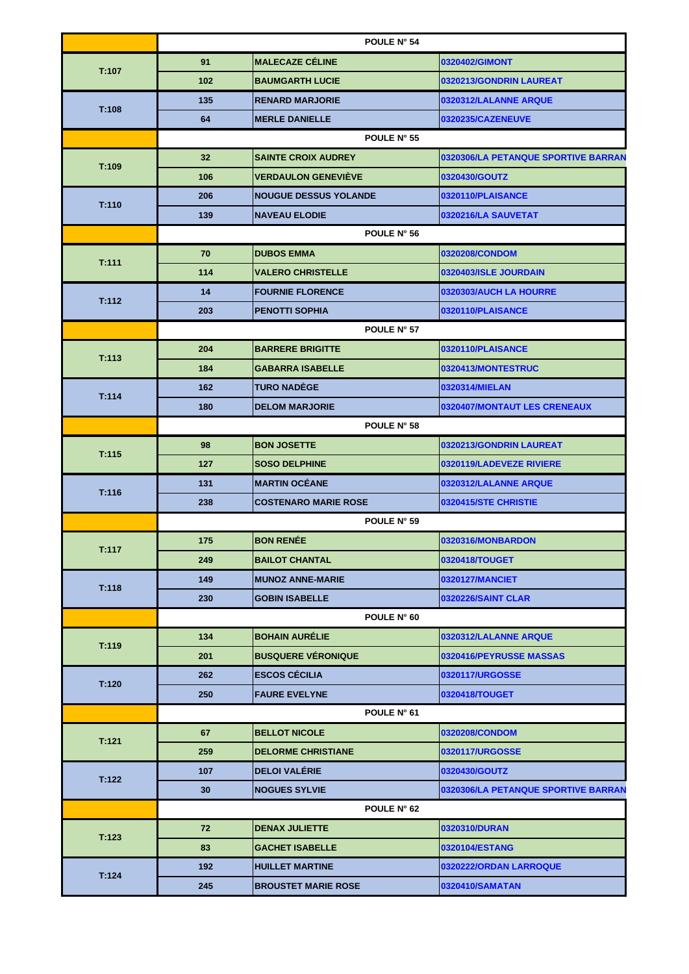|       | POULE N° 54     |                              |                                     |
|-------|-----------------|------------------------------|-------------------------------------|
| T:107 | 91              | <b>MALECAZE CÉLINE</b>       | 0320402/GIMONT                      |
|       | 102             | <b>BAUMGARTH LUCIE</b>       | 0320213/GONDRIN LAUREAT             |
| T:108 | 135             | <b>RENARD MARJORIE</b>       | 0320312/LALANNE ARQUE               |
|       | 64              | <b>MERLE DANIELLE</b>        | 0320235/CAZENEUVE                   |
|       |                 | POULE N° 55                  |                                     |
| T:109 | 32 <sub>2</sub> | <b>SAINTE CROIX AUDREY</b>   | 0320306/LA PETANQUE SPORTIVE BARRAN |
|       | 106             | <b>VERDAULON GENEVIEVE</b>   | 0320430/GOUTZ                       |
| T:110 | 206             | <b>NOUGUE DESSUS YOLANDE</b> | 0320110/PLAISANCE                   |
|       | 139             | <b>NAVEAU ELODIE</b>         | 0320216/LA SAUVETAT                 |
|       |                 | POULE N° 56                  |                                     |
| T:111 | 70              | <b>DUBOS EMMA</b>            | 0320208/CONDOM                      |
|       | 114             | <b>VALERO CHRISTELLE</b>     | 0320403/ISLE JOURDAIN               |
| T:112 | 14              | <b>FOURNIE FLORENCE</b>      | 0320303/AUCH LA HOURRE              |
|       | 203             | <b>PENOTTI SOPHIA</b>        | 0320110/PLAISANCE                   |
|       |                 | POULE N° 57                  |                                     |
|       | 204             | <b>BARRERE BRIGITTE</b>      | 0320110/PLAISANCE                   |
| T:113 | 184             | <b>GABARRA ISABELLE</b>      | 0320413/MONTESTRUC                  |
|       | 162             | <b>TURO NADÉGE</b>           | 0320314/MIELAN                      |
| T:114 | 180             | <b>DELOM MARJORIE</b>        | 0320407/MONTAUT LES CRENEAUX        |
|       | POULE N° 58     |                              |                                     |
|       | 98              | <b>BON JOSETTE</b>           | 0320213/GONDRIN LAUREAT             |
| T:115 | 127             | <b>SOSO DELPHINE</b>         | 0320119/LADEVEZE RIVIERE            |
|       | 131             | <b>MARTIN OCÉANE</b>         | 0320312/LALANNE ARQUE               |
| T:116 | 238             | <b>COSTENARO MARIE ROSE</b>  | 0320415/STE CHRISTIE                |
|       | POULE N° 59     |                              |                                     |
|       | 175             | <b>BON RENÉE</b>             | 0320316/MONBARDON                   |
| T:117 | 249             | <b>BAILOT CHANTAL</b>        | 0320418/TOUGET                      |
|       | 149             | <b>MUNOZ ANNE-MARIE</b>      | 0320127/MANCIET                     |
| T:118 | 230             | <b>GOBIN ISABELLE</b>        | <b>0320226/SAINT CLAR</b>           |
|       | POULE N° 60     |                              |                                     |
|       | 134             | <b>BOHAIN AURÉLIE</b>        | 0320312/LALANNE ARQUE               |
| T:119 | 201             | <b>BUSQUERE VÉRONIQUE</b>    | 0320416/PEYRUSSE MASSAS             |
|       | 262             | <b>ESCOS CÉCILIA</b>         | 0320117/URGOSSE                     |
| T:120 | 250             | <b>FAURE EVELYNE</b>         | 0320418/TOUGET                      |
|       |                 | POULE N° 61                  |                                     |
|       | 67              | <b>BELLOT NICOLE</b>         | 0320208/CONDOM                      |
| T:121 | 259             | <b>DELORME CHRISTIANE</b>    | 0320117/URGOSSE                     |
| T:122 | 107             | <b>DELOI VALÉRIE</b>         | 0320430/GOUTZ                       |
|       | 30              | <b>NOGUES SYLVIE</b>         | 0320306/LA PETANQUE SPORTIVE BARRAN |
|       |                 | <b>POULE N° 62</b>           |                                     |
|       | 72              | <b>DENAX JULIETTE</b>        | 0320310/DURAN                       |
| T:123 | 83              | <b>GACHET ISABELLE</b>       | 0320104/ESTANG                      |
|       | 192             | <b>HUILLET MARTINE</b>       | 0320222/ORDAN LARROQUE              |
| T:124 | 245             | <b>BROUSTET MARIE ROSE</b>   | 0320410/SAMATAN                     |
|       |                 |                              |                                     |